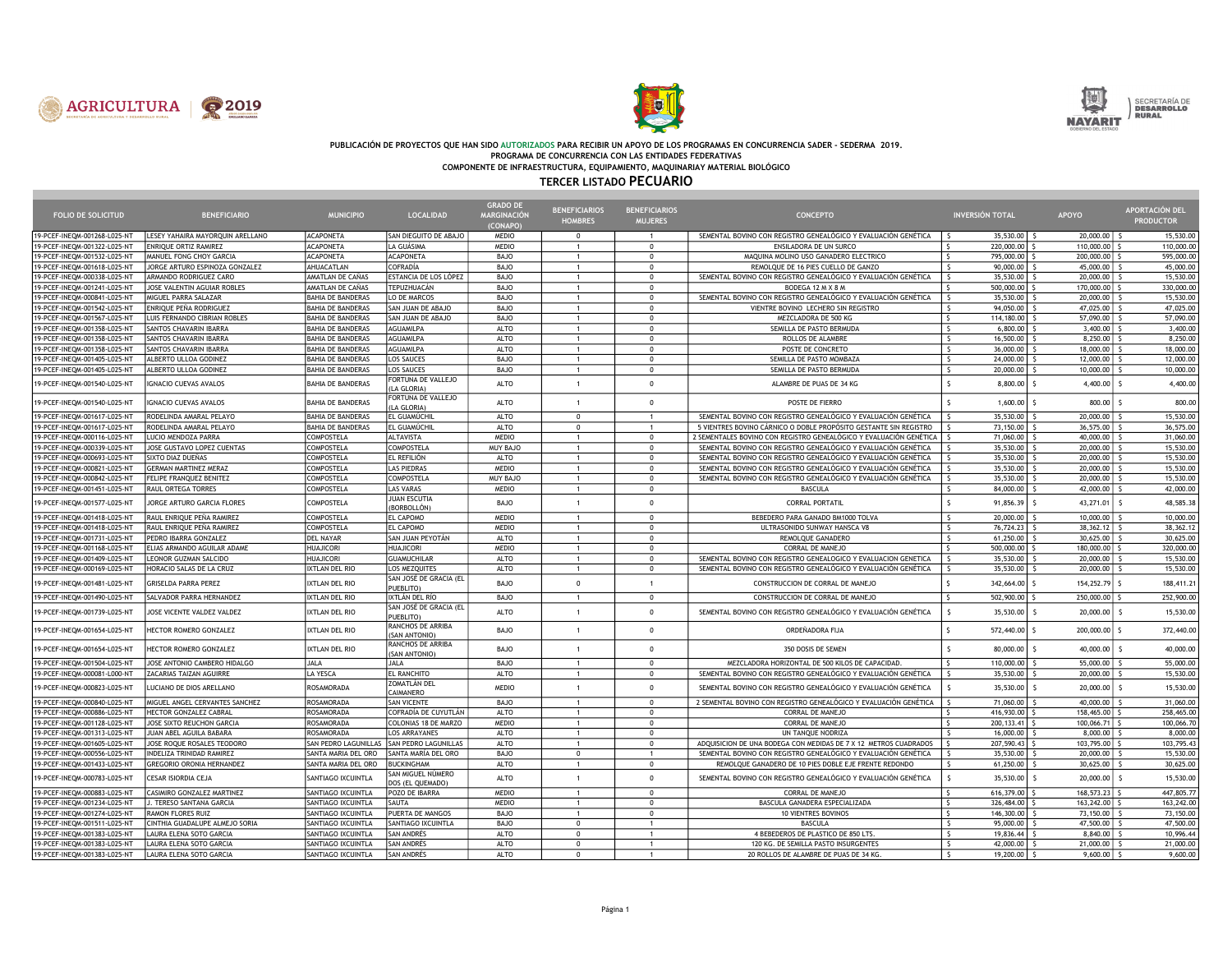





## PUBLICACIÓN DE PROYECTOS QUE HAN SIDO AUTORIZADOS PARA RECIBIR UN APOYO DE LOS PROGRAMAS EN CONCURRENCIA SADER - SEDERMA 2019. PROGRAMA DE CONCURRENCIA CON LAS ENTIDADES FEDERATIVAS

COMPONENTE DE INFRAESTRUCTURA, EQUIPAMIENTO, MAQUINARIAY MATERIAL BIOLÓGICO

## TERCER LISTADO PECUARIO

|                              |                                  |                          |                                       | <b>GRADO D</b>     | <b>BENEFICIARIOS</b> | <b>BENEFICIARIOS</b> |                                                                    |                                      |               | APORTACIÓN DEL   |
|------------------------------|----------------------------------|--------------------------|---------------------------------------|--------------------|----------------------|----------------------|--------------------------------------------------------------------|--------------------------------------|---------------|------------------|
| <b>FOLIO DE SOLICITUD</b>    | <b>BENEFICIARIO</b>              | <b>MUNICIPIO</b>         | <b>LOCALIDAD</b>                      | <b>MARGINACIÓN</b> | <b>HOMBRES</b>       | <b>MUJERES</b>       | <b>CONCEPTO</b>                                                    | <b>INVERSIÓN TOTAL</b>               | APOYO         | <b>PRODUCTOR</b> |
|                              |                                  |                          |                                       | (CONAPO)           |                      |                      |                                                                    |                                      |               |                  |
| 19-PCEF-INEQM-001268-L025-NT | LESEY YAHAIRA MAYORQUIN ARELLANO | <b>ACAPONETA</b>         | SAN DIEGUITO DE ABAJO                 | <b>MEDIO</b>       | $\mathbf{0}$         | $\overline{1}$       | SEMENTAL BOVINO CON REGISTRO GENEALÓGICO Y EVALUACIÓN GENÉTICA     | 35,530.00<br>$\hat{\zeta}$           | 20,000.00     | 15,530.00        |
| 19-PCEF-INEQM-001322-L025-NT | ENRIQUE ORTIZ RAMIREZ            | <b>ACAPONETA</b>         | LA GUÁSIMA                            | <b>MEDIO</b>       | $\mathbf{1}$         | $\Omega$             | ENSILADORA DE UN SURCO                                             | 220,000.00                           | 110,000.00    | 110,000.00       |
| 19-PCEF-INEQM-001532-L025-NT | MANUEL FONG CHOY GARCIA          | <b>ACAPONETA</b>         | <b>ACAPONETA</b>                      | BAJO               | $\mathbf{1}$         | $\mathbf 0$          | MAQUINA MOLINO USO GANADERO ELECTRICO                              | 795,000.00<br>l s                    | 200,000.00    | 595,000.00       |
| 19-PCEF-INEQM-001618-L025-NT | JORGE ARTURO ESPINOZA GONZALEZ   | AHUACATLAN               | <b>COFRADÍA</b>                       | <b>BAJO</b>        | $\mathbf{1}$         | $\mathbf 0$          | REMOLQUE DE 16 PIES CUELLO DE GANZO                                | $\overline{\mathsf{S}}$<br>90,000.00 | 45,000.00     | 45,000.00        |
| 19-PCEF-INEQM-000338-L025-NT | ARMANDO RODRIGUEZ CARO           | AMATLAN DE CAÑAS         | ESTANCIA DE LOS LÓPEZ                 | BAJO               | $\mathbf{1}$         | $\Omega$             | SEMENTAL BOVINO CON REGISTRO GENEALÓGICO Y EVALUACIÓN GENÉTICA     | 35,530.00                            | 20,000.00     | 15,530.00        |
| 19-PCEF-INEOM-001241-L025-NT | JOSE VALENTIN AGUIAR ROBLES      | AMATLAN DE CAÑAS         | TEPUZHUACÁN                           | BAJO               | $\mathbf{1}$         | $\mathbf 0$          | BODEGA 12 M X 8 M                                                  | 500,000.00                           | 170,000,00    | 330,000.00       |
| 19-PCEF-INEQM-000841-L025-NT | MIGUEL PARRA SALAZAR             | <b>BAHIA DE BANDERAS</b> | LO DE MARCOS                          | <b>BAJO</b>        | $\mathbf{1}$         | $\mathbf 0$          | SEMENTAL BOVINO CON REGISTRO GENEALÓGICO Y EVALUACIÓN GENÉTICA     | 35,530.00                            | 20,000.00     | 15,530.00        |
| 19-PCEF-INEQM-001542-L025-NT | ENRIOUE PEÑA RODRIGUEZ           | BAHIA DE BANDERAS        | SAN JUAN DE ABAJO                     | <b>BAJO</b>        | $\mathbf{1}$         | $\Omega$             | VIENTRE BOVINO LECHERO SIN REGISTRO                                | 94.050.00                            | 47.025.00     | 47.025.00        |
| 19-PCEF-INEQM-001567-L025-NT | LUIS FERNANDO CIBRIAN ROBLES     | <b>BAHIA DE BANDERAS</b> | SAN JUAN DE ABAJO                     | <b>BAJO</b>        | $\mathbf{1}$         | $\Omega$             | MEZCLADORA DE 500 KG                                               | $\sim$<br>114,180,00                 | 57,090.00     | 57,090.00        |
| 19-PCEF-INEQM-001358-L025-NT | SANTOS CHAVARIN IBARRA           | <b>BAHIA DE BANDERAS</b> | AGUAMILPA                             | <b>ALTO</b>        | $\mathbf{1}$         | $\Omega$             | SEMILLA DE PASTO BERMUDA                                           | $\hat{\varsigma}$<br>6,800.00        | 3,400.00      | 3,400.00         |
| 19-PCEF-INEQM-001358-L025-NT | <b>SANTOS CHAVARIN IBARRA</b>    | BAHIA DE BANDERAS        | AGUAMILPA                             | <b>ALTO</b>        | $\mathbf{1}$         | $\Omega$             | ROLLOS DE ALAMBRE                                                  | $\ddot{\phantom{1}}$<br>16,500.00    | 8,250.00      | 8,250.00         |
| 19-PCEF-INEQM-001358-L025-NT | SANTOS CHAVARIN IBARRA           | <b>BAHIA DE BANDERAS</b> | AGUAMILPA                             | <b>ALTO</b>        | 1                    | $\Omega$             | POSTE DE CONCRETO                                                  | $\mathsf{s}$<br>36,000.00            | 18,000.00     | 18,000.00        |
| 19-PCEF-INEQM-001405-L025-NT | ALBERTO ULLOA GODINEZ            | <b>BAHIA DE BANDERAS</b> | <b>LOS SAUCES</b>                     | BAJO               | $\mathbf{1}$         | $\Omega$             | SEMILLA DE PASTO MOMBAZA                                           | $\hat{\zeta}$<br>24,000.00           | 12,000.00     | 12,000.00        |
| 19-PCEF-INEQM-001405-L025-NT | ALBERTO ULLOA GODINEZ            | <b>BAHIA DE BANDERAS</b> | <b>LOS SAUCES</b>                     | BAJO               | $\mathbf{1}$         | $\Omega$             | SEMILLA DE PASTO BERMUDA                                           | $\mathsf{s}$<br>20,000.00            | 10,000.00     | 10,000.00        |
|                              |                                  |                          | FORTUNA DE VALLEJO                    |                    |                      |                      |                                                                    |                                      |               |                  |
| 19-PCEF-INEQM-001540-L025-NT | <b>GNACIO CUEVAS AVALOS</b>      | <b>BAHIA DE BANDERAS</b> | (LA GLORIA)                           | <b>ALTO</b>        | $\mathbf{1}$         | $\Omega$             | ALAMBRE DE PUAS DE 34 KG                                           | $\mathsf{s}$<br>8,800.00             | 4,400.00      | 4,400.00         |
| 19-PCEF-INEQM-001540-L025-NT | <b>GNACIO CUEVAS AVALOS</b>      | <b>BAHIA DE BANDERAS</b> | FORTUNA DE VALLEJO<br>(LA GLORIA)     | <b>ALTO</b>        | $\mathbf{1}$         | $\Omega$             | POSTE DE FIERRO                                                    | 1,600.00                             | 800.00        | 800.00           |
| 19-PCEF-INEOM-001617-L025-NT | RODELINDA AMARAL PELAYO          | <b>BAHIA DE BANDERAS</b> | EL GUAMÚCHII                          | <b>ALTO</b>        | $\Omega$             | $\overline{1}$       | SEMENTAL BOVINO CON REGISTRO GENEALÓGICO Y EVALUACIÓN GENÉTICA     | 35,530,00                            | 20,000.00     | 15,530.00        |
| 19-PCEF-INEQM-001617-L025-NT | RODELINDA AMARAL PELAYO          | BAHIA DE BANDERAS        | EL GUAMÚCHIL                          | <b>ALTO</b>        | $\Omega$             | $\overline{1}$       | 5 VIENTRES BOVINO CÁRNICO O DOBLE PROPÓSITO GESTANTE SIN REGISTRO  | 73,150.00                            | 36,575.00     | 36,575.00        |
| 19-PCEF-INEOM-000116-L025-NT | LUCIO MENDOZA PARRA              | <b>COMPOSTELA</b>        | <b>ALTAVISTA</b>                      | <b>MEDIO</b>       | $\mathbf{1}$         | $\Omega$             | 2 SEMENTALES BOVINO CON REGISTRO GENEALÓGICO Y EVALUACIÓN GENÉTICA | 71,060,00                            | 40,000.00     | 31,060,00        |
| 19-PCEF-INEQM-000339-L025-NT | JOSE GUSTAVO LOPEZ CUENTAS       | COMPOSTELA               | <b>COMPOSTELA</b>                     | MUY BAJO           | $\mathbf{1}$         | $\Omega$             | SEMENTAL BOVINO CON REGISTRO GENEALÓGICO Y EVALUACIÓN GENÉTICA     | 35,530.00                            | 20,000.00     | 15,530.00        |
| 19-PCEF-INEQM-000693-L025-NT | SIXTO DIAZ DUEÑAS                | <b>COMPOSTELA</b>        | EL REFILIÓN                           | ALTO               | $\mathbf{1}$         | $\Omega$             | SEMENTAL BOVINO CON REGISTRO GENEALÓGICO Y EVALUACIÓN GENÉTICA     | 35,530.00                            | 20,000.00     | 15,530.00        |
| 19-PCEF-INEQM-000821-L025-NT | <b>GERMAN MARTINEZ MERAZ</b>     | <b>COMPOSTELA</b>        | <b>LAS PIEDRAS</b>                    | <b>MEDIO</b>       | 1                    | $\Omega$             | SEMENTAL BOVINO CON REGISTRO GENEALÓGICO Y EVALUACIÓN GENÉTICA     | 35,530.00                            | 20,000.00     | 15,530.00        |
| 19-PCEF-INEQM-000842-L025-NT | FELIPE FRANQUEZ BENITEZ          | <b>COMPOSTELA</b>        | <b>COMPOSTELA</b>                     | <b>MUY BAJO</b>    | $\mathbf{1}$         | $\Omega$             | SEMENTAL BOVINO CON REGISTRO GENEALÓGICO Y EVALUACIÓN GENÉTICA     | 35,530.00                            | 20,000.00     | 15,530.00        |
| 19-PCEF-INEQM-001451-L025-NT | RAUL ORTEGA TORRES               | COMPOSTELA               | <b>LAS VARAS</b>                      | <b>MEDIO</b>       | 1                    | $\mathbf 0$          | <b>BASCULA</b>                                                     | 84,000.00<br>$\hat{\zeta}$           | 42,000.00     | 42,000.00        |
| 19-PCEF-INEQM-001577-L025-NT | JORGE ARTURO GARCIA FLORES       | COMPOSTELA               | <b>JUAN ESCUTIA</b>                   | <b>BAJO</b>        | $\overline{1}$       | $\Omega$             | <b>CORRAL PORTATIL</b>                                             | $\mathsf{s}$<br>91,856.39            | 43,271.01     | 48,585.38        |
| 19-PCEF-INEQM-001418-L025-NT | RAUL ENRIQUE PEÑA RAMIREZ        | COMPOSTELA               | (BORBOLLÓN)<br>EL CAPOMO              | <b>MEDIO</b>       | 1                    | $\Omega$             | BEBEDERO PARA GANADO BM1000 TOLVA                                  | $\zeta$<br>20,000.00                 | 10,000.00     | 10,000.00        |
| 19-PCEF-INEQM-001418-L025-NT | RAUL ENRIQUE PEÑA RAMIREZ        | COMPOSTELA               | EL CAPOMO                             | <b>MEDIO</b>       | $\mathbf{1}$         | $\Omega$             | ULTRASONIDO SUNWAY HANSCA V8                                       | $\mathsf{s}$<br>76,724.23            | 38,362.12     | 38, 362, 12      |
|                              |                                  |                          |                                       |                    |                      |                      |                                                                    |                                      |               |                  |
| 19-PCEF-INEQM-001731-L025-NT | PEDRO IBARRA GONZALEZ            | <b>DEL NAYAR</b>         | SAN JUAN PEYOTÁN                      | ALTO               | 1                    | $\Omega$             | REMOLQUE GANADERO                                                  | 61,250.00<br>$\mathsf{S}$            | 30,625.00     | 30,625.00        |
| 19-PCEF-INEQM-001168-L025-NT | ELIAS ARMANDO AGUILAR ADAME      | <b>HUAJICORI</b>         | <b>HUAJICORI</b>                      | <b>MEDIO</b>       | $\mathbf{1}$         | $\Omega$             | CORRAL DE MANEJO                                                   | 500,000.00<br>$\ddot{\rm c}$         | 180,000.00    | 320,000.00       |
| 19-PCEF-INEQM-001409-L025-NT | LEONOR GUZMAN SALCIDO            | HUAJICORI                | <b>GUAMUCHILAR</b>                    | <b>ALTO</b>        | $\mathbf{1}$         | $\Omega$             | SEMENTAL BOVINO CON REGISTRO GENEALOGICO Y EVALUACION GENETICA     | 35,530.00                            | 20,000.00     | 15,530.00        |
| 19-PCEF-INEQM-000169-L025-NT | HORACIO SALAS DE LA CRUZ         | IXTLAN DEL RIO           | LOS MEZQUITES                         | ALTO               | $\mathbf{1}$         | $^{\circ}$           | SEMENTAL BOVINO CON REGISTRO GENEALÓGICO Y EVALUACIÓN GENÉTICA     | 35,530.00                            | 20,000.00     | 15,530.00        |
| 19-PCEF-INEQM-001481-L025-NT | <b>GRISELDA PARRA PEREZ</b>      | IXTLAN DEL RIO           | SAN JOSÉ DE GRACIA (EL<br>PUFBLITO)   | BAJO               | $\mathbf 0$          | $\overline{1}$       | CONSTRUCCION DE CORRAL DE MANEJO                                   | 342,664.00 \$                        | 154,252.79 \$ | 188,411.21       |
| 19-PCEF-INEQM-001490-L025-NT | SALVADOR PARRA HERNANDEZ         | IXTLAN DEL RIO           | IXTLÁN DEL RÍO                        | BAJO               | 1                    | $\Omega$             | CONSTRUCCION DE CORRAL DE MANEJO                                   | $\epsilon$<br>502,900.00             | 250,000.00    | 252,900.00       |
| 9-PCEF-INEQM-001739-L025-NT  | JOSE VICENTE VALDEZ VALDEZ       | IXTLAN DEL RIO           | SAN JOSÉ DE GRACIA (EL<br>PUEBLITO)   | <b>ALTO</b>        | $\mathbf{1}$         | $\Omega$             | SEMENTAL BOVINO CON REGISTRO GENEALÓGICO Y EVALUACIÓN GENÉTICA     | 35,530.00                            | 20,000.00     | 15,530.00        |
| 19-PCEF-INEQM-001654-L025-NT | HECTOR ROMERO GONZALEZ           | IXTLAN DEL RIO           | RANCHOS DE ARRIBA<br>(SAN ANTONIO)    | BAJO               | $\mathbf{1}$         | $\Omega$             | ORDEÑADORA FIJA                                                    | 572,440.00                           | 200,000.00    | 372,440.00       |
| 19-PCEF-INEQM-001654-L025-NT | <b>IECTOR ROMERO GONZALEZ</b>    | IXTLAN DEL RIO           | RANCHOS DE ARRIBA                     | BAJO               | $\mathbf{1}$         | $\Omega$             | 350 DOSIS DE SEMEN                                                 | $\hat{\varsigma}$<br>80,000.00       | 40,000.00     | 40,000.00        |
|                              |                                  |                          | (SAN ANTONIO)                         |                    |                      |                      |                                                                    |                                      |               |                  |
| 19-PCEF-INEQM-001504-L025-NT | JOSE ANTONIO CAMBERO HIDALGO     | JALA                     | <b>JALA</b>                           | BAJO               | $\mathbf{1}$         | $\Omega$             | MEZCLADORA HORIZONTAL DE 500 KILOS DE CAPACIDAD.                   | 110,000,00                           | 55,000.00     | 55,000.00        |
| 19-PCEF-INEQM-000081-L000-NT | ZACARIAS TAIZAN AGUIRRE          | LA YESCA                 | EL RANCHITO                           | ALTO               | $\mathbf{1}$         | $\Omega$             | SEMENTAL BOVINO CON REGISTRO GENEALÓGICO Y EVALUACIÓN GENÉTICA     | 35,530.00                            | 20,000.00     | 15,530.00        |
| 19-PCEF-INEQM-000823-L025-NT | LUCIANO DE DIOS ARELLANO         | ROSAMORADA               | ZOMATLÁN DEL<br>CAIMANERO             | <b>MEDIO</b>       | $\mathbf{1}$         | $\Omega$             | SEMENTAL BOVINO CON REGISTRO GENEALÓGICO Y EVALUACIÓN GENÉTICA     | 35,530.00                            | 20,000.00     | 15,530.00        |
| 19-PCEF-INEQM-000840-L025-NT | MIGUEL ANGEL CERVANTES SANCHEZ   | <b>ROSAMORADA</b>        | <b>SAN VICENTE</b>                    | BAJO               | 1                    | $\Omega$             | 2 SEMENTAL BOVINO CON REGISTRO GENEALÓGICO Y EVALUACIÓN GENÉTICA   | 71,060,00                            | 40,000.00     | 31,060,00        |
| 19-PCEF-INEQM-000886-L025-NT | HECTOR GONZALEZ CABRAL           | ROSAMORADA               | COFRADÍA DE CUYUTLÁN                  | <b>ALTO</b>        | $\mathbf{1}$         | $\Omega$             | <b>CORRAL DE MANEJO</b>                                            | 416,930.00                           | 158,465.00    | 258,465.00       |
| 19-PCEF-INEQM-001128-L025-NT | JOSE SIXTO REUCHON GARCIA        | ROSAMORADA               | COLONIAS 18 DE MARZO                  | <b>MEDIO</b>       | 1                    | $\Omega$             | <b>CORRAL DE MANEJO</b>                                            | 200, 133.41<br><sup>\$</sup>         | 100,066.71    | 100,066.70       |
| 19-PCEF-INEQM-001313-L025-NT | JUAN ABEL AGUILA BABARA          | <b>ROSAMORADA</b>        | <b>LOS ARRAYANES</b>                  | <b>ALTO</b>        | $\mathbf{1}$         | $\Omega$             | UN TANQUE NODRIZA                                                  | 16,000.00<br>$\zeta$                 | 8.000.00      | 8,000.00         |
| 19-PCEF-INEQM-001605-L025-NT | JOSE ROQUE ROSALES TEODORO       | SAN PEDRO LAGUNILLAS     | <b>SAN PEDRO LAGUNILLAS</b>           | <b>ALTO</b>        | $\mathbf{1}$         | $\Omega$             | ADOUISICION DE UNA BODEGA CON MEDIDAS DE 7 X 12 METROS CUADRADOS   | 207,590.43                           | 103,795.00    | 103,795.43       |
| 19-PCEF-INEQM-000556-L025-NT | <b>INDELIZA TRINIDAD RAMIREZ</b> | SANTA MARIA DEL ORO      | SANTA MARÍA DEL ORO                   | <b>BAJO</b>        | $\Omega$             | $\overline{1}$       | SEMENTAL BOVINO CON REGISTRO GENEALÓGICO Y EVALUACIÓN GENÉTICA     | 35,530.00                            | 20,000.00     | 15,530.00        |
| 19-PCEF-INEQM-001433-L025-NT | <b>GREGORIO ORONIA HERNANDEZ</b> | SANTA MARIA DEL ORO      | <b>BUCKINGHAM</b>                     | <b>ALTO</b>        | $\mathbf{1}$         | $\Omega$             | REMOLOUE GANADERO DE 10 PIES DOBLE EJE FRENTE REDONDO              | 61,250.00<br>$\zeta$                 | 30,625.00     | 30.625.00        |
| 19-PCEF-INEQM-000783-L025-NT | CESAR ISIORDIA CEJA              | SANTIAGO IXCUINTLA       | SAN MIGUEL NÚMERO<br>DOS (EL QUEMADO) | <b>ALTO</b>        | $\mathbf{1}$         | $\Omega$             | SEMENTAL BOVINO CON REGISTRO GENEALÓGICO Y EVALUACIÓN GENÉTICA     | 35,530.00                            | 20,000.00     | 15,530.00        |
| 19-PCEF-INEQM-000883-L025-NT | CASIMIRO GONZALEZ MARTINEZ       | SANTIAGO IXCUINTLA       | POZO DE IBARRA                        | <b>MEDIO</b>       | $\mathbf{1}$         | $\Omega$             | CORRAL DE MANEJO                                                   | 616,379.00                           | 168,573.23    | 447,805.77       |
| 19-PCEF-INEQM-001234-L025-NT | J. TERESO SANTANA GARCIA         | SANTIAGO IXCUINTLA       | SAUTA                                 | <b>MEDIO</b>       | $\mathbf{1}$         | $\Omega$             | BASCULA GANADERA ESPECIALIZADA                                     | 326,484.00<br>-S                     | 163,242.00    | 163,242.00       |
| 19-PCEF-INEQM-001274-L025-NT | <b>RAMON FLORES RUIZ</b>         | SANTIAGO IXCUINTLA       | PUERTA DE MANGOS                      | BAJO               | $\mathbf{1}$         | $\Omega$             |                                                                    | $\epsilon$<br>146,300.00             | 73,150.00     | 73,150.00        |
|                              |                                  |                          |                                       |                    | $\Omega$             | $\overline{1}$       | 10 VIENTRES BOVINOS                                                | $\hat{\zeta}$                        |               |                  |
| 19-PCEF-INEQM-001511-L025-NT | CINTHIA GUADALUPE ALMEJO SORIA   | SANTIAGO IXCUINTLA       | SANTIAGO IXCUINTLA                    | <b>BAJO</b>        |                      |                      | <b>BASCULA</b>                                                     | 95,000.00                            | 47,500.00     | 47,500.00        |
| 19-PCEF-INEQM-001383-L025-NT | LAURA ELENA SOTO GARCIA          | SANTIAGO IXCUINTLA       | SAN ANDRÉS                            | <b>ALTO</b>        | $\Omega$             | $\overline{1}$       | 4 BEBEDEROS DE PLASTICO DE 850 LTS                                 | $\mathsf{S}$<br>19,836.44            | 8,840,00      | 10,996.44        |
| 19-PCEF-INEQM-001383-L025-NT | LAURA ELENA SOTO GARCIA          | SANTIAGO IXCUINTLA       | <b>SAN ANDRÉS</b>                     | <b>ALTO</b>        | $\Omega$             |                      | 120 KG. DE SEMILLA PASTO INSURGENTES                               | $\ddot{\phantom{1}}$<br>42,000.00    | 21,000.00     | 21,000.00        |
| 19-PCEF-INEQM-001383-L025-NT | LAURA ELENA SOTO GARCIA          | SANTIAGO IXCUINTLA       | <b>SAN ANDRÉS</b>                     | <b>ALTO</b>        | $\Omega$             |                      | 20 ROLLOS DE ALAMBRE DE PUAS DE 34 KG.                             | $\mathsf{s}$<br>19,200.00            | $9,600.00$ \$ | 9.600.00         |